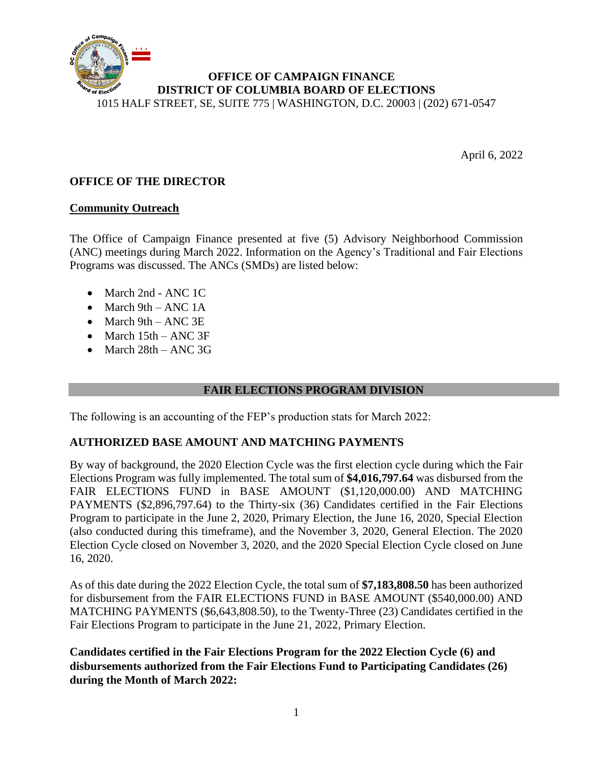

April 6, 2022

# **OFFICE OF THE DIRECTOR**

## **Community Outreach**

The Office of Campaign Finance presented at five (5) Advisory Neighborhood Commission (ANC) meetings during March 2022. Information on the Agency's Traditional and Fair Elections Programs was discussed. The ANCs (SMDs) are listed below:

- March 2nd ANC 1C
- March 9th ANC 1A
- March 9th ANC 3E
- March 15th ANC 3F
- March 28th ANC 3G

### **FAIR ELECTIONS PROGRAM DIVISION**

The following is an accounting of the FEP's production stats for March 2022:

### **AUTHORIZED BASE AMOUNT AND MATCHING PAYMENTS**

By way of background, the 2020 Election Cycle was the first election cycle during which the Fair Elections Program was fully implemented. The total sum of **\$4,016,797.64** was disbursed from the FAIR ELECTIONS FUND in BASE AMOUNT (\$1,120,000.00) AND MATCHING PAYMENTS (\$2,896,797.64) to the Thirty-six (36) Candidates certified in the Fair Elections Program to participate in the June 2, 2020, Primary Election, the June 16, 2020, Special Election (also conducted during this timeframe), and the November 3, 2020, General Election. The 2020 Election Cycle closed on November 3, 2020, and the 2020 Special Election Cycle closed on June 16, 2020.

As of this date during the 2022 Election Cycle, the total sum of **\$7,183,808.50** has been authorized for disbursement from the FAIR ELECTIONS FUND in BASE AMOUNT (\$540,000.00) AND MATCHING PAYMENTS (\$6,643,808.50), to the Twenty-Three (23) Candidates certified in the Fair Elections Program to participate in the June 21, 2022, Primary Election.

**Candidates certified in the Fair Elections Program for the 2022 Election Cycle (6) and disbursements authorized from the Fair Elections Fund to Participating Candidates (26) during the Month of March 2022:**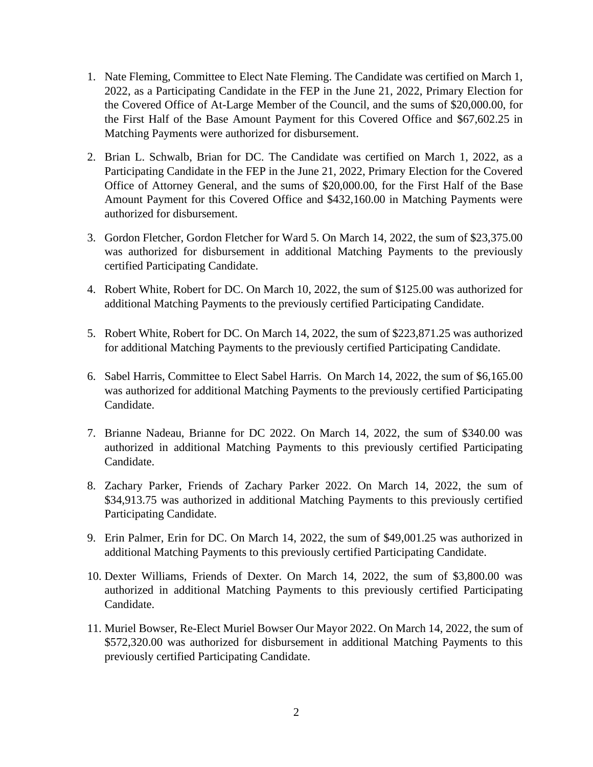- 1. Nate Fleming, Committee to Elect Nate Fleming. The Candidate was certified on March 1, 2022, as a Participating Candidate in the FEP in the June 21, 2022, Primary Election for the Covered Office of At-Large Member of the Council, and the sums of \$20,000.00, for the First Half of the Base Amount Payment for this Covered Office and \$67,602.25 in Matching Payments were authorized for disbursement.
- 2. Brian L. Schwalb, Brian for DC. The Candidate was certified on March 1, 2022, as a Participating Candidate in the FEP in the June 21, 2022, Primary Election for the Covered Office of Attorney General, and the sums of \$20,000.00, for the First Half of the Base Amount Payment for this Covered Office and \$432,160.00 in Matching Payments were authorized for disbursement.
- 3. Gordon Fletcher, Gordon Fletcher for Ward 5. On March 14, 2022, the sum of \$23,375.00 was authorized for disbursement in additional Matching Payments to the previously certified Participating Candidate.
- 4. Robert White, Robert for DC. On March 10, 2022, the sum of \$125.00 was authorized for additional Matching Payments to the previously certified Participating Candidate.
- 5. Robert White, Robert for DC. On March 14, 2022, the sum of \$223,871.25 was authorized for additional Matching Payments to the previously certified Participating Candidate.
- 6. Sabel Harris, Committee to Elect Sabel Harris. On March 14, 2022, the sum of \$6,165.00 was authorized for additional Matching Payments to the previously certified Participating Candidate.
- 7. Brianne Nadeau, Brianne for DC 2022. On March 14, 2022, the sum of \$340.00 was authorized in additional Matching Payments to this previously certified Participating Candidate.
- 8. Zachary Parker, Friends of Zachary Parker 2022. On March 14, 2022, the sum of \$34,913.75 was authorized in additional Matching Payments to this previously certified Participating Candidate.
- 9. Erin Palmer, Erin for DC. On March 14, 2022, the sum of \$49,001.25 was authorized in additional Matching Payments to this previously certified Participating Candidate.
- 10. Dexter Williams, Friends of Dexter. On March 14, 2022, the sum of \$3,800.00 was authorized in additional Matching Payments to this previously certified Participating Candidate.
- 11. Muriel Bowser, Re-Elect Muriel Bowser Our Mayor 2022. On March 14, 2022, the sum of \$572,320.00 was authorized for disbursement in additional Matching Payments to this previously certified Participating Candidate.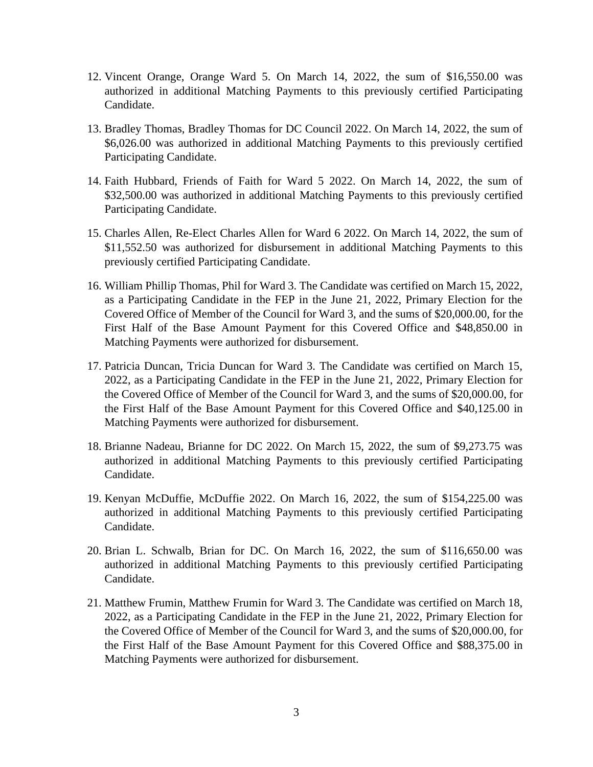- 12. Vincent Orange, Orange Ward 5. On March 14, 2022, the sum of \$16,550.00 was authorized in additional Matching Payments to this previously certified Participating Candidate.
- 13. Bradley Thomas, Bradley Thomas for DC Council 2022. On March 14, 2022, the sum of \$6,026.00 was authorized in additional Matching Payments to this previously certified Participating Candidate.
- 14. Faith Hubbard, Friends of Faith for Ward 5 2022. On March 14, 2022, the sum of \$32,500.00 was authorized in additional Matching Payments to this previously certified Participating Candidate.
- 15. Charles Allen, Re-Elect Charles Allen for Ward 6 2022. On March 14, 2022, the sum of \$11,552.50 was authorized for disbursement in additional Matching Payments to this previously certified Participating Candidate.
- 16. William Phillip Thomas, Phil for Ward 3. The Candidate was certified on March 15, 2022, as a Participating Candidate in the FEP in the June 21, 2022, Primary Election for the Covered Office of Member of the Council for Ward 3, and the sums of \$20,000.00, for the First Half of the Base Amount Payment for this Covered Office and \$48,850.00 in Matching Payments were authorized for disbursement.
- 17. Patricia Duncan, Tricia Duncan for Ward 3. The Candidate was certified on March 15, 2022, as a Participating Candidate in the FEP in the June 21, 2022, Primary Election for the Covered Office of Member of the Council for Ward 3, and the sums of \$20,000.00, for the First Half of the Base Amount Payment for this Covered Office and \$40,125.00 in Matching Payments were authorized for disbursement.
- 18. Brianne Nadeau, Brianne for DC 2022. On March 15, 2022, the sum of \$9,273.75 was authorized in additional Matching Payments to this previously certified Participating Candidate.
- 19. Kenyan McDuffie, McDuffie 2022. On March 16, 2022, the sum of \$154,225.00 was authorized in additional Matching Payments to this previously certified Participating Candidate.
- 20. Brian L. Schwalb, Brian for DC. On March 16, 2022, the sum of \$116,650.00 was authorized in additional Matching Payments to this previously certified Participating Candidate.
- 21. Matthew Frumin, Matthew Frumin for Ward 3. The Candidate was certified on March 18, 2022, as a Participating Candidate in the FEP in the June 21, 2022, Primary Election for the Covered Office of Member of the Council for Ward 3, and the sums of \$20,000.00, for the First Half of the Base Amount Payment for this Covered Office and \$88,375.00 in Matching Payments were authorized for disbursement.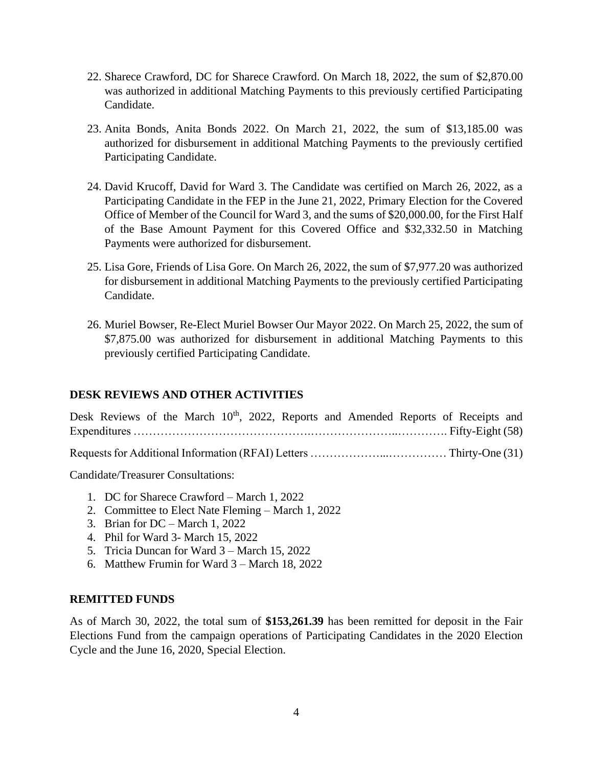- 22. Sharece Crawford, DC for Sharece Crawford. On March 18, 2022, the sum of \$2,870.00 was authorized in additional Matching Payments to this previously certified Participating Candidate.
- 23. Anita Bonds, Anita Bonds 2022. On March 21, 2022, the sum of \$13,185.00 was authorized for disbursement in additional Matching Payments to the previously certified Participating Candidate.
- 24. David Krucoff, David for Ward 3. The Candidate was certified on March 26, 2022, as a Participating Candidate in the FEP in the June 21, 2022, Primary Election for the Covered Office of Member of the Council for Ward 3, and the sums of \$20,000.00, for the First Half of the Base Amount Payment for this Covered Office and \$32,332.50 in Matching Payments were authorized for disbursement.
- 25. Lisa Gore, Friends of Lisa Gore. On March 26, 2022, the sum of \$7,977.20 was authorized for disbursement in additional Matching Payments to the previously certified Participating Candidate.
- 26. Muriel Bowser, Re-Elect Muriel Bowser Our Mayor 2022. On March 25, 2022, the sum of \$7,875.00 was authorized for disbursement in additional Matching Payments to this previously certified Participating Candidate.

# **DESK REVIEWS AND OTHER ACTIVITIES**

Desk Reviews of the March 10<sup>th</sup>, 2022, Reports and Amended Reports of Receipts and Expenditures ……………………………………….…………………..…………. Fifty-Eight (58) Requests for Additional Information (RFAI) Letters ………………...…………… Thirty-One (31)

Candidate/Treasurer Consultations:

- 1. DC for Sharece Crawford March 1, 2022
- 2. Committee to Elect Nate Fleming March 1, 2022
- 3. Brian for DC March 1, 2022
- 4. Phil for Ward 3- March 15, 2022
- 5. Tricia Duncan for Ward 3 March 15, 2022
- 6. Matthew Frumin for Ward 3 March 18, 2022

### **REMITTED FUNDS**

As of March 30, 2022, the total sum of **\$153,261.39** has been remitted for deposit in the Fair Elections Fund from the campaign operations of Participating Candidates in the 2020 Election Cycle and the June 16, 2020, Special Election.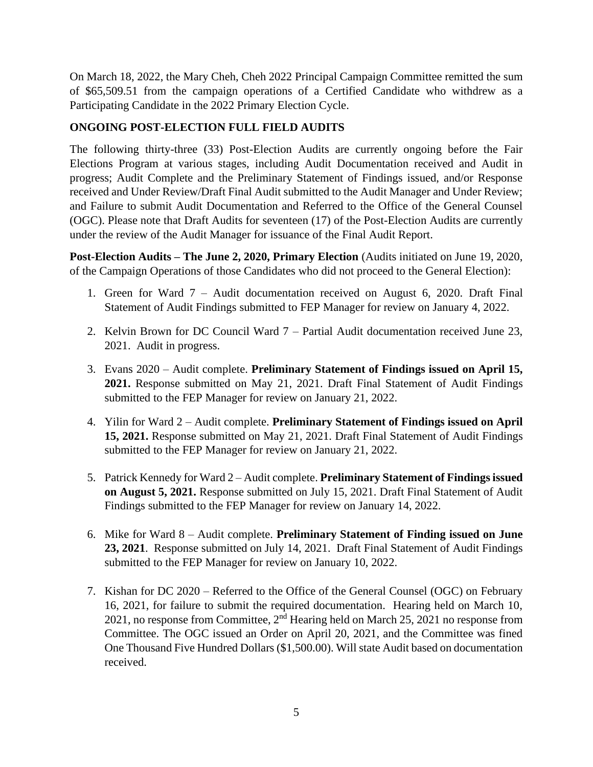On March 18, 2022, the Mary Cheh, Cheh 2022 Principal Campaign Committee remitted the sum of \$65,509.51 from the campaign operations of a Certified Candidate who withdrew as a Participating Candidate in the 2022 Primary Election Cycle.

# **ONGOING POST-ELECTION FULL FIELD AUDITS**

The following thirty-three (33) Post-Election Audits are currently ongoing before the Fair Elections Program at various stages, including Audit Documentation received and Audit in progress; Audit Complete and the Preliminary Statement of Findings issued, and/or Response received and Under Review/Draft Final Audit submitted to the Audit Manager and Under Review; and Failure to submit Audit Documentation and Referred to the Office of the General Counsel (OGC). Please note that Draft Audits for seventeen (17) of the Post-Election Audits are currently under the review of the Audit Manager for issuance of the Final Audit Report.

**Post-Election Audits – The June 2, 2020, Primary Election** (Audits initiated on June 19, 2020, of the Campaign Operations of those Candidates who did not proceed to the General Election):

- 1. Green for Ward 7 Audit documentation received on August 6, 2020. Draft Final Statement of Audit Findings submitted to FEP Manager for review on January 4, 2022.
- 2. Kelvin Brown for DC Council Ward 7 Partial Audit documentation received June 23, 2021. Audit in progress.
- 3. Evans 2020 Audit complete. **Preliminary Statement of Findings issued on April 15, 2021.** Response submitted on May 21, 2021. Draft Final Statement of Audit Findings submitted to the FEP Manager for review on January 21, 2022.
- 4. Yilin for Ward 2 Audit complete. **Preliminary Statement of Findings issued on April 15, 2021.** Response submitted on May 21, 2021. Draft Final Statement of Audit Findings submitted to the FEP Manager for review on January 21, 2022.
- 5. Patrick Kennedy for Ward 2 Audit complete. **Preliminary Statement of Findings issued on August 5, 2021.** Response submitted on July 15, 2021. Draft Final Statement of Audit Findings submitted to the FEP Manager for review on January 14, 2022.
- 6. Mike for Ward 8 Audit complete. **Preliminary Statement of Finding issued on June 23, 2021**.Response submitted on July 14, 2021. Draft Final Statement of Audit Findings submitted to the FEP Manager for review on January 10, 2022.
- 7. Kishan for DC 2020 Referred to the Office of the General Counsel (OGC) on February 16, 2021, for failure to submit the required documentation. Hearing held on March 10, 2021, no response from Committee, 2nd Hearing held on March 25, 2021 no response from Committee. The OGC issued an Order on April 20, 2021, and the Committee was fined One Thousand Five Hundred Dollars (\$1,500.00). Will state Audit based on documentation received.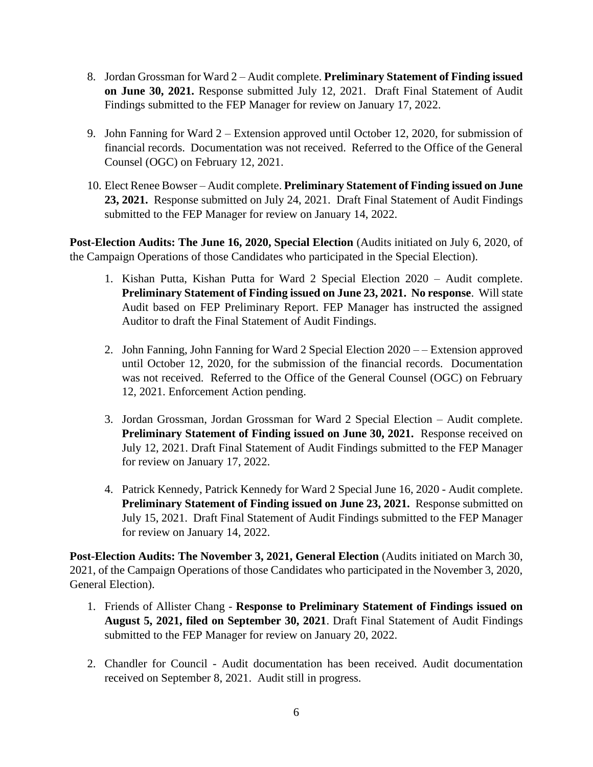- 8. Jordan Grossman for Ward 2 Audit complete. **Preliminary Statement of Finding issued on June 30, 2021.** Response submitted July 12, 2021. Draft Final Statement of Audit Findings submitted to the FEP Manager for review on January 17, 2022.
- 9. John Fanning for Ward 2 Extension approved until October 12, 2020, for submission of financial records. Documentation was not received. Referred to the Office of the General Counsel (OGC) on February 12, 2021.
- 10. Elect Renee Bowser Audit complete. **Preliminary Statement of Finding issued on June 23, 2021.** Response submitted on July 24, 2021. Draft Final Statement of Audit Findings submitted to the FEP Manager for review on January 14, 2022.

**Post-Election Audits: The June 16, 2020, Special Election** (Audits initiated on July 6, 2020, of the Campaign Operations of those Candidates who participated in the Special Election).

- 1. Kishan Putta, Kishan Putta for Ward 2 Special Election 2020 Audit complete. **Preliminary Statement of Finding issued on June 23, 2021. No response**. Will state Audit based on FEP Preliminary Report. FEP Manager has instructed the assigned Auditor to draft the Final Statement of Audit Findings.
- 2. John Fanning, John Fanning for Ward 2 Special Election 2020 – Extension approved until October 12, 2020, for the submission of the financial records. Documentation was not received. Referred to the Office of the General Counsel (OGC) on February 12, 2021. Enforcement Action pending.
- 3. Jordan Grossman, Jordan Grossman for Ward 2 Special Election Audit complete. **Preliminary Statement of Finding issued on June 30, 2021.** Response received on July 12, 2021. Draft Final Statement of Audit Findings submitted to the FEP Manager for review on January 17, 2022.
- 4. Patrick Kennedy, Patrick Kennedy for Ward 2 Special June 16, 2020 Audit complete. **Preliminary Statement of Finding issued on June 23, 2021.** Response submitted on July 15, 2021. Draft Final Statement of Audit Findings submitted to the FEP Manager for review on January 14, 2022.

**Post-Election Audits: The November 3, 2021, General Election** (Audits initiated on March 30, 2021, of the Campaign Operations of those Candidates who participated in the November 3, 2020, General Election).

- 1. Friends of Allister Chang **Response to Preliminary Statement of Findings issued on August 5, 2021, filed on September 30, 2021**. Draft Final Statement of Audit Findings submitted to the FEP Manager for review on January 20, 2022.
- 2. Chandler for Council Audit documentation has been received. Audit documentation received on September 8, 2021. Audit still in progress.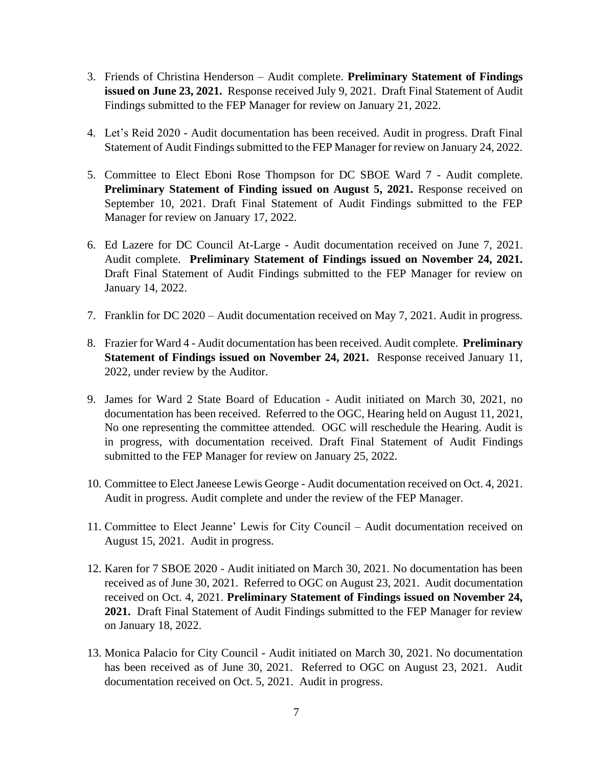- 3. Friends of Christina Henderson Audit complete. **Preliminary Statement of Findings issued on June 23, 2021.** Response received July 9, 2021. Draft Final Statement of Audit Findings submitted to the FEP Manager for review on January 21, 2022.
- 4. Let's Reid 2020 Audit documentation has been received. Audit in progress. Draft Final Statement of Audit Findings submitted to the FEP Manager for review on January 24, 2022.
- 5. Committee to Elect Eboni Rose Thompson for DC SBOE Ward 7 Audit complete. **Preliminary Statement of Finding issued on August 5, 2021.** Response received on September 10, 2021. Draft Final Statement of Audit Findings submitted to the FEP Manager for review on January 17, 2022.
- 6. Ed Lazere for DC Council At-Large Audit documentation received on June 7, 2021. Audit complete. **Preliminary Statement of Findings issued on November 24, 2021.**  Draft Final Statement of Audit Findings submitted to the FEP Manager for review on January 14, 2022.
- 7. Franklin for DC 2020 Audit documentation received on May 7, 2021. Audit in progress.
- 8. Frazier for Ward 4 Audit documentation has been received. Audit complete. **Preliminary Statement of Findings issued on November 24, 2021.** Response received January 11, 2022, under review by the Auditor.
- 9. James for Ward 2 State Board of Education Audit initiated on March 30, 2021, no documentation has been received. Referred to the OGC, Hearing held on August 11, 2021, No one representing the committee attended. OGC will reschedule the Hearing. Audit is in progress, with documentation received. Draft Final Statement of Audit Findings submitted to the FEP Manager for review on January 25, 2022.
- 10. Committee to Elect Janeese Lewis George Audit documentation received on Oct. 4, 2021. Audit in progress. Audit complete and under the review of the FEP Manager.
- 11. Committee to Elect Jeanne' Lewis for City Council Audit documentation received on August 15, 2021. Audit in progress.
- 12. Karen for 7 SBOE 2020 Audit initiated on March 30, 2021. No documentation has been received as of June 30, 2021. Referred to OGC on August 23, 2021. Audit documentation received on Oct. 4, 2021. **Preliminary Statement of Findings issued on November 24, 2021.** Draft Final Statement of Audit Findings submitted to the FEP Manager for review on January 18, 2022.
- 13. Monica Palacio for City Council Audit initiated on March 30, 2021. No documentation has been received as of June 30, 2021. Referred to OGC on August 23, 2021. Audit documentation received on Oct. 5, 2021. Audit in progress.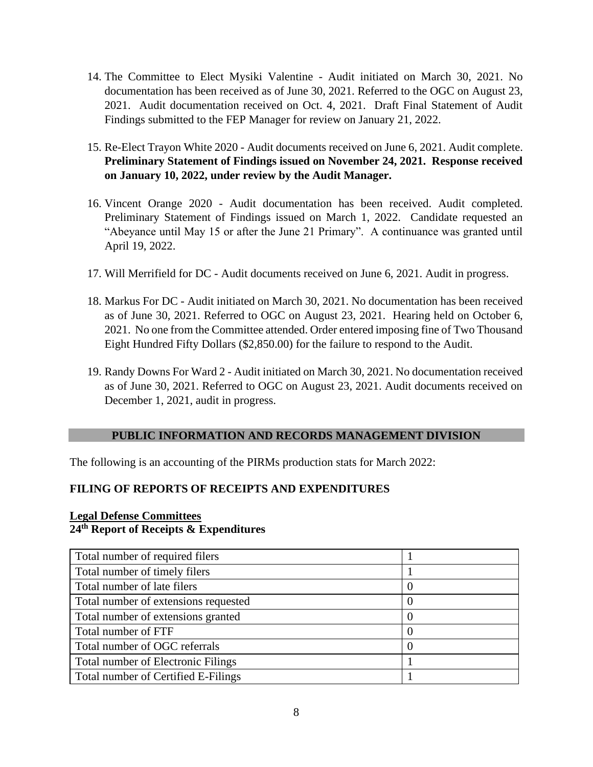- 14. The Committee to Elect Mysiki Valentine Audit initiated on March 30, 2021. No documentation has been received as of June 30, 2021. Referred to the OGC on August 23, 2021. Audit documentation received on Oct. 4, 2021. Draft Final Statement of Audit Findings submitted to the FEP Manager for review on January 21, 2022.
- 15. Re-Elect Trayon White 2020 Audit documents received on June 6, 2021. Audit complete. **Preliminary Statement of Findings issued on November 24, 2021. Response received on January 10, 2022, under review by the Audit Manager.**
- 16. Vincent Orange 2020 Audit documentation has been received. Audit completed. Preliminary Statement of Findings issued on March 1, 2022. Candidate requested an "Abeyance until May 15 or after the June 21 Primary". A continuance was granted until April 19, 2022.
- 17. Will Merrifield for DC Audit documents received on June 6, 2021. Audit in progress.
- 18. Markus For DC Audit initiated on March 30, 2021. No documentation has been received as of June 30, 2021. Referred to OGC on August 23, 2021. Hearing held on October 6, 2021. No one from the Committee attended. Order entered imposing fine of Two Thousand Eight Hundred Fifty Dollars (\$2,850.00) for the failure to respond to the Audit.
- 19. Randy Downs For Ward 2 Audit initiated on March 30, 2021. No documentation received as of June 30, 2021. Referred to OGC on August 23, 2021. Audit documents received on December 1, 2021, audit in progress.

### **PUBLIC INFORMATION AND RECORDS MANAGEMENT DIVISION**

The following is an accounting of the PIRMs production stats for March 2022:

# **FILING OF REPORTS OF RECEIPTS AND EXPENDITURES**

# **Legal Defense Committees 24th Report of Receipts & Expenditures**

| Total number of required filers           |   |
|-------------------------------------------|---|
| Total number of timely filers             |   |
| Total number of late filers               | U |
| Total number of extensions requested      |   |
| Total number of extensions granted        |   |
| Total number of FTF                       |   |
| Total number of OGC referrals             |   |
| <b>Total number of Electronic Filings</b> |   |
| Total number of Certified E-Filings       |   |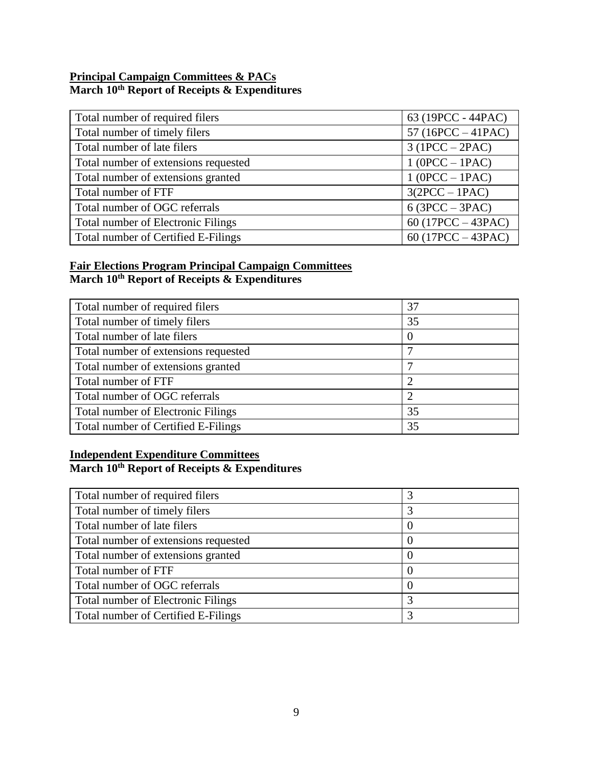## **Principal Campaign Committees & PACs March 10th Report of Receipts & Expenditures**

| Total number of required filers           | 63 (19PCC - 44PAC)   |
|-------------------------------------------|----------------------|
| Total number of timely filers             | 57 (16PCC $-41$ PAC) |
| Total number of late filers               | $3(1PCC - 2PAC)$     |
| Total number of extensions requested      | $1 (OPCC - IPAC)$    |
| Total number of extensions granted        | $1 (OPCC - IPAC)$    |
| Total number of FTF                       | $3(2PCC - 1PAC)$     |
| Total number of OGC referrals             | $6(3PCC - 3PAC)$     |
| <b>Total number of Electronic Filings</b> | 60 $(17PCC - 43PAC)$ |
| Total number of Certified E-Filings       | 60 (17PCC $-$ 43PAC) |

# **Fair Elections Program Principal Campaign Committees March 10th Report of Receipts & Expenditures**

| Total number of required filers           | 37             |
|-------------------------------------------|----------------|
| Total number of timely filers             | 35             |
| Total number of late filers               | $\theta$       |
| Total number of extensions requested      |                |
| Total number of extensions granted        |                |
| Total number of FTF                       | $\overline{2}$ |
| Total number of OGC referrals             | $\overline{2}$ |
| <b>Total number of Electronic Filings</b> | 35             |
| Total number of Certified E-Filings       | 35             |

# **Independent Expenditure Committees March 10th Report of Receipts & Expenditures**

| Total number of required filers           |          |
|-------------------------------------------|----------|
| Total number of timely filers             |          |
| Total number of late filers               |          |
| Total number of extensions requested      |          |
| Total number of extensions granted        |          |
| Total number of FTF                       |          |
| Total number of OGC referrals             | $\Omega$ |
| <b>Total number of Electronic Filings</b> | 3        |
| Total number of Certified E-Filings       |          |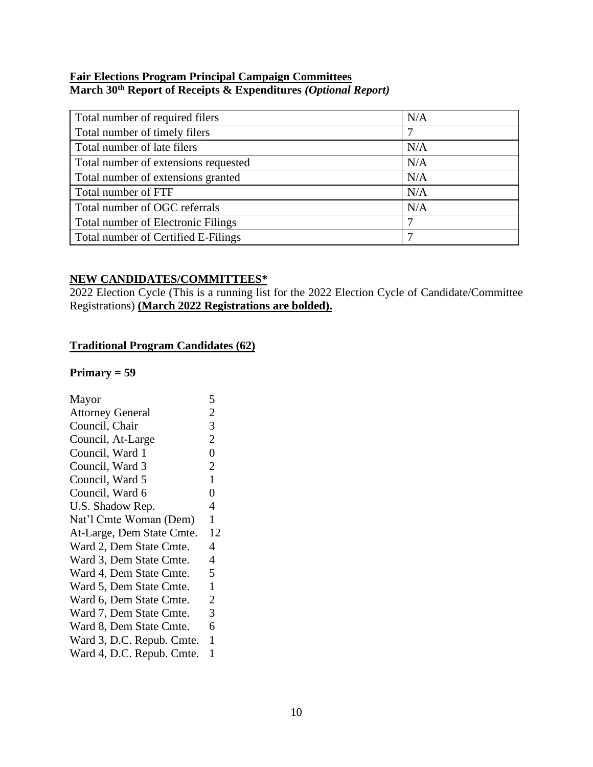### **Fair Elections Program Principal Campaign Committees March 30th Report of Receipts & Expenditures** *(Optional Report)*

| Total number of required filers           | N/A |
|-------------------------------------------|-----|
| Total number of timely filers             | 7   |
| Total number of late filers               | N/A |
| Total number of extensions requested      | N/A |
| Total number of extensions granted        | N/A |
| Total number of FTF                       | N/A |
| Total number of OGC referrals             | N/A |
| <b>Total number of Electronic Filings</b> | 7   |
| Total number of Certified E-Filings       |     |

### **NEW CANDIDATES/COMMITTEES\***

2022 Election Cycle (This is a running list for the 2022 Election Cycle of Candidate/Committee Registrations) **(March 2022 Registrations are bolded).**

# **Traditional Program Candidates (62)**

### **Primary = 59**

| Mayor                     | 5              |
|---------------------------|----------------|
| <b>Attorney General</b>   | $\overline{c}$ |
| Council, Chair            | 3              |
| Council, At-Large         | $\overline{2}$ |
| Council, Ward 1           | $\overline{0}$ |
| Council, Ward 3           | $\overline{2}$ |
| Council, Ward 5           | $\mathbf{1}$   |
| Council, Ward 6           | $\overline{0}$ |
| U.S. Shadow Rep.          | 4              |
| Nat'l Cmte Woman (Dem)    | 1              |
| At-Large, Dem State Cmte. | 12             |
| Ward 2, Dem State Cmte.   | 4              |
| Ward 3, Dem State Cmte.   | 4              |
| Ward 4, Dem State Cmte.   | 5              |
| Ward 5, Dem State Cmte.   | 1              |
| Ward 6, Dem State Cmte.   | $\overline{2}$ |
| Ward 7, Dem State Cmte.   | 3              |
| Ward 8, Dem State Cmte.   | 6              |
| Ward 3, D.C. Repub. Cmte. | $\mathbf{1}$   |
| Ward 4, D.C. Repub. Cmte. | $\mathbf{1}$   |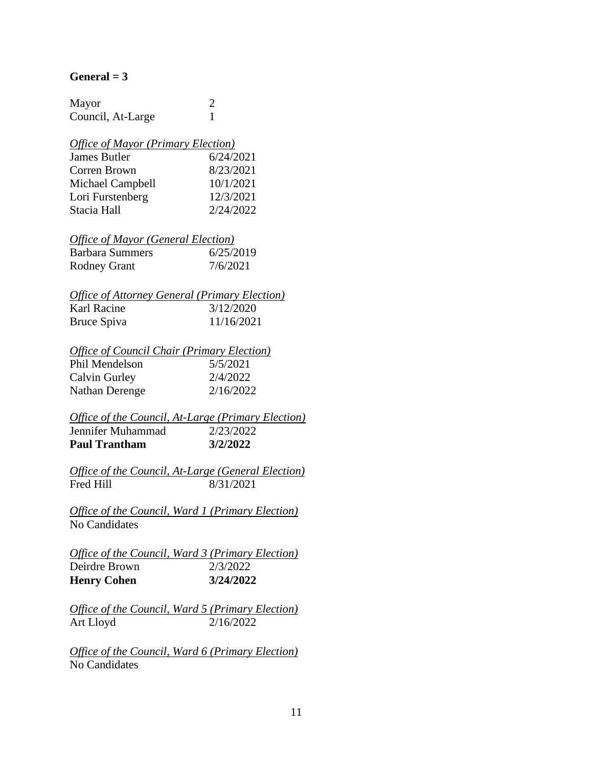#### $General = 3$

| Mayor             |  |
|-------------------|--|
| Council, At-Large |  |

#### *Office of Mayor (Primary Election)*

| James Butler     | 6/24/2021 |
|------------------|-----------|
| Corren Brown     | 8/23/2021 |
| Michael Campbell | 10/1/2021 |
| Lori Furstenberg | 12/3/2021 |
| Stacia Hall      | 2/24/2022 |

# *Office of Mayor (General Election)*

| <b>Barbara Summers</b> | 6/25/2019 |
|------------------------|-----------|
| <b>Rodney Grant</b>    | 7/6/2021  |

#### *Office of Attorney General (Primary Election)* Karl Racine 3/12/2020 Bruce Spiva 11/16/2021

## *Office of Council Chair (Primary Election)*

| Phil Mendelson | 5/5/2021  |
|----------------|-----------|
| Calvin Gurley  | 2/4/2022  |
| Nathan Derenge | 2/16/2022 |

#### *Office of the Council, At-Large (Primary Election)* Jennifer Muhammad 2/23/2022 **Paul Trantham 3/2/2022**

*Office of the Council, At-Large (General Election)* Fred Hill 8/31/2021

*Office of the Council, Ward 1 (Primary Election)* No Candidates

*Office of the Council, Ward 3 (Primary Election)* Deirdre Brown 2/3/2022 **Henry Cohen 3/24/2022**

*Office of the Council, Ward 5 (Primary Election)* Art Lloyd 2/16/2022

*Office of the Council, Ward 6 (Primary Election)* No Candidates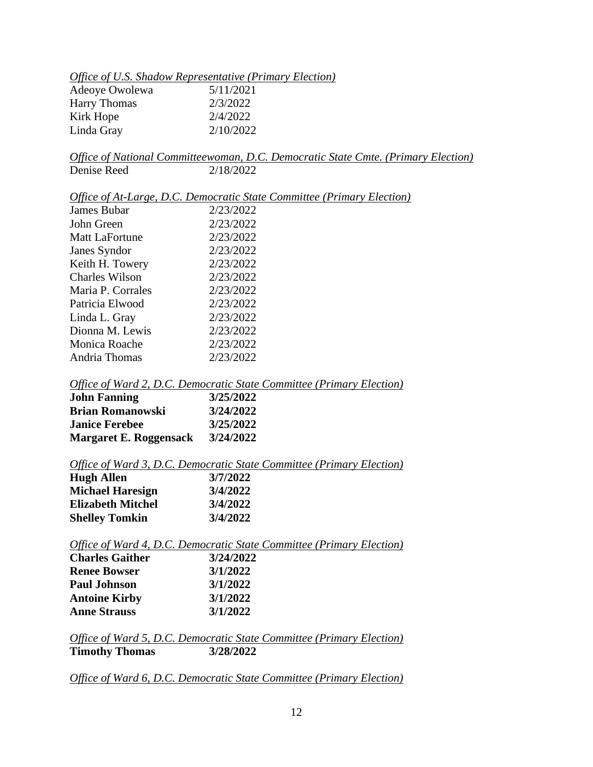| Office of U.S. Shadow Representative (Primary Election) |  |
|---------------------------------------------------------|--|
|---------------------------------------------------------|--|

| Adeoye Owolewa      | 5/11/2021 |
|---------------------|-----------|
| <b>Harry Thomas</b> | 2/3/2022  |
| Kirk Hope           | 2/4/2022  |
| Linda Gray          | 2/10/2022 |

*Office of National Committeewoman, D.C. Democratic State Cmte. (Primary Election)* Denise Reed 2/18/2022

*Office of At-Large, D.C. Democratic State Committee (Primary Election)*

| James Bubar           | 2/23/2022 |
|-----------------------|-----------|
| John Green            | 2/23/2022 |
| Matt LaFortune        | 2/23/2022 |
| Janes Syndor          | 2/23/2022 |
| Keith H. Towery       | 2/23/2022 |
| <b>Charles Wilson</b> | 2/23/2022 |
| Maria P. Corrales     | 2/23/2022 |
| Patricia Elwood       | 2/23/2022 |
| Linda L. Gray         | 2/23/2022 |
| Dionna M. Lewis       | 2/23/2022 |
| Monica Roache         | 2/23/2022 |
| Andria Thomas         | 2/23/2022 |

*Office of Ward 2, D.C. Democratic State Committee (Primary Election)*

| <b>John Fanning</b>           | 3/25/2022 |
|-------------------------------|-----------|
| <b>Brian Romanowski</b>       | 3/24/2022 |
| <b>Janice Ferebee</b>         | 3/25/2022 |
| <b>Margaret E. Roggensack</b> | 3/24/2022 |

#### *Office of Ward 3, D.C. Democratic State Committee (Primary Election)*

| <b>Hugh Allen</b>        | 3/7/2022 |
|--------------------------|----------|
| <b>Michael Haresign</b>  | 3/4/2022 |
| <b>Elizabeth Mitchel</b> | 3/4/2022 |
| <b>Shelley Tomkin</b>    | 3/4/2022 |

*Office of Ward 4, D.C. Democratic State Committee (Primary Election)* **Charles Gaither 3/24/2022**

| <b>Renee Bowser</b>  | 3/1/2022 |
|----------------------|----------|
| <b>Paul Johnson</b>  | 3/1/2022 |
| <b>Antoine Kirby</b> | 3/1/2022 |
| <b>Anne Strauss</b>  | 3/1/2022 |

*Office of Ward 5, D.C. Democratic State Committee (Primary Election)* **Timothy Thomas 3/28/2022**

*Office of Ward 6, D.C. Democratic State Committee (Primary Election)*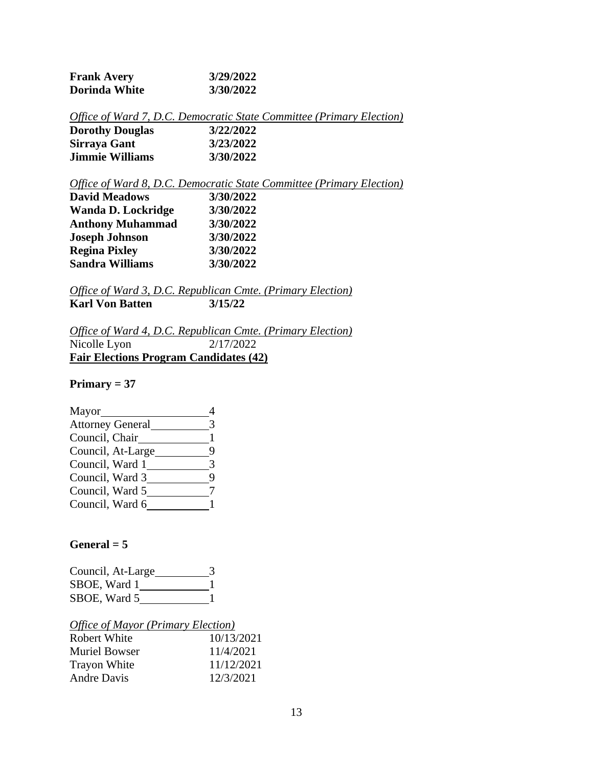| <b>Frank Avery</b> | 3/29/2022 |
|--------------------|-----------|
| Dorinda White      | 3/30/2022 |

|                        | Office of Ward 7, D.C. Democratic State Committee (Primary Election) |  |
|------------------------|----------------------------------------------------------------------|--|
| <b>Dorothy Douglas</b> | 3/22/2022                                                            |  |
| Sirraya Gant           | 3/23/2022                                                            |  |
| <b>Jimmie Williams</b> | 3/30/2022                                                            |  |

*Office of Ward 8, D.C. Democratic State Committee (Primary Election)*

| <b>David Meadows</b>      | 3/30/2022 |  |
|---------------------------|-----------|--|
| <b>Wanda D. Lockridge</b> | 3/30/2022 |  |
| <b>Anthony Muhammad</b>   | 3/30/2022 |  |
| <b>Joseph Johnson</b>     | 3/30/2022 |  |
| <b>Regina Pixley</b>      | 3/30/2022 |  |
| <b>Sandra Williams</b>    | 3/30/2022 |  |

*Office of Ward 3, D.C. Republican Cmte. (Primary Election)* **Karl Von Batten 3/15/22**

*Office of Ward 4, D.C. Republican Cmte. (Primary Election)* Nicolle Lyon 2/17/2022 **Fair Elections Program Candidates (42)**

## **Primary = 37**

| Mayor                   |   |
|-------------------------|---|
| <b>Attorney General</b> |   |
| Council, Chair          |   |
| Council, At-Large       |   |
| Council, Ward 1         |   |
| Council, Ward 3         | g |
| Council, Ward 5         |   |
| Council, Ward 6         |   |

# $General = 5$

| Council, At-Large |  |
|-------------------|--|
| SBOE, Ward 1      |  |
| SBOE, Ward 5      |  |

|  |  |  |  |  |  |  | <b>Office of Mayor (Primary Election)</b> |
|--|--|--|--|--|--|--|-------------------------------------------|
|--|--|--|--|--|--|--|-------------------------------------------|

| Robert White         | 10/13/2021 |
|----------------------|------------|
| <b>Muriel Bowser</b> | 11/4/2021  |
| <b>Trayon White</b>  | 11/12/2021 |
| <b>Andre Davis</b>   | 12/3/2021  |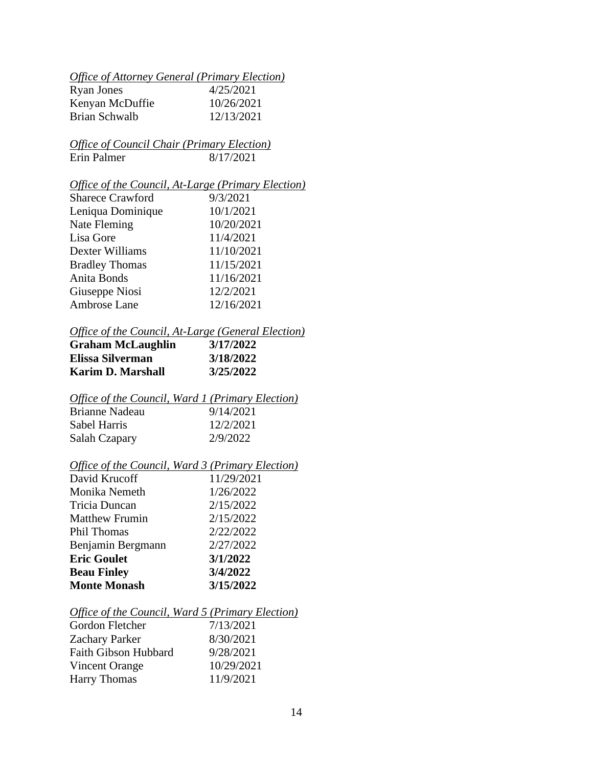# *Office of Attorney General (Primary Election)*

| Ryan Jones      | 4/25/2021  |
|-----------------|------------|
| Kenyan McDuffie | 10/26/2021 |
| Brian Schwalb   | 12/13/2021 |

# *Office of Council Chair (Primary Election)* Erin Palmer 8/17/2021

# *Office of the Council, At-Large (Primary Election)*

| <b>Sharece Crawford</b> | 9/3/2021   |
|-------------------------|------------|
| Leniqua Dominique       | 10/1/2021  |
| Nate Fleming            | 10/20/2021 |
| Lisa Gore               | 11/4/2021  |
| Dexter Williams         | 11/10/2021 |
| <b>Bradley Thomas</b>   | 11/15/2021 |
| Anita Bonds             | 11/16/2021 |
| Giuseppe Niosi          | 12/2/2021  |
| Ambrose Lane            | 12/16/2021 |

# *Office of the Council, At-Large (General Election)*

| <b>Graham McLaughlin</b> | 3/17/2022 |
|--------------------------|-----------|
| Elissa Silverman         | 3/18/2022 |
| <b>Karim D. Marshall</b> | 3/25/2022 |

# *Office of the Council, Ward 1 (Primary Election)*

| Brianne Nadeau | 9/14/2021 |
|----------------|-----------|
| Sabel Harris   | 12/2/2021 |
| Salah Czapary  | 2/9/2022  |

# *Office of the Council, Ward 3 (Primary Election)*

| David Krucoff         | 11/29/2021 |
|-----------------------|------------|
| Monika Nemeth         | 1/26/2022  |
| Tricia Duncan         | 2/15/2022  |
| <b>Matthew Frumin</b> | 2/15/2022  |
| <b>Phil Thomas</b>    | 2/22/2022  |
| Benjamin Bergmann     | 2/27/2022  |
| <b>Eric Goulet</b>    | 3/1/2022   |
| <b>Beau Finley</b>    | 3/4/2022   |
| <b>Monte Monash</b>   | 3/15/2022  |

#### *Office of the Council, Ward 5 (Primary Election)*

| Gordon Fletcher             | 7/13/2021  |
|-----------------------------|------------|
| <b>Zachary Parker</b>       | 8/30/2021  |
| <b>Faith Gibson Hubbard</b> | 9/28/2021  |
| Vincent Orange              | 10/29/2021 |
| <b>Harry Thomas</b>         | 11/9/2021  |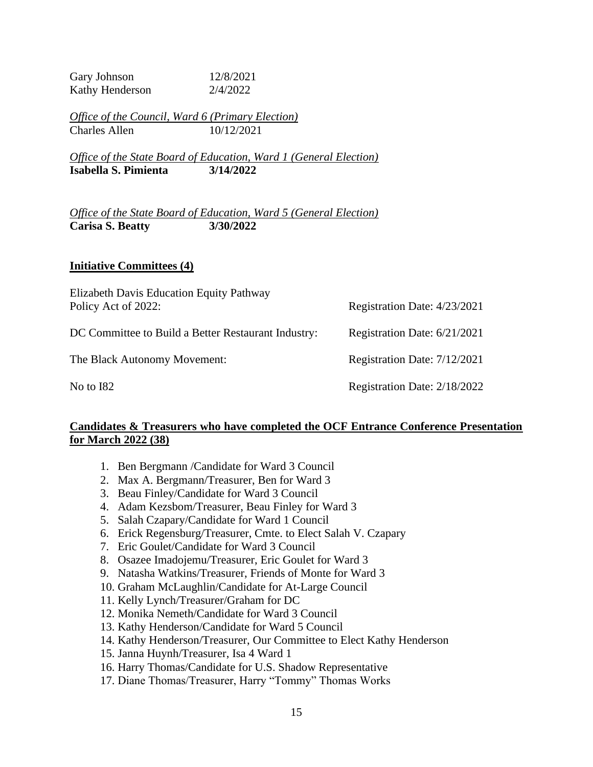Gary Johnson 12/8/2021 Kathy Henderson 2/4/2022

*Office of the Council, Ward 6 (Primary Election)* Charles Allen 10/12/2021

*Office of the State Board of Education, Ward 1 (General Election)* **Isabella S. Pimienta 3/14/2022**

*Office of the State Board of Education, Ward 5 (General Election)* **Carisa S. Beatty 3/30/2022**

### **Initiative Committees (4)**

| Elizabeth Davis Education Equity Pathway<br>Policy Act of 2022: | Registration Date: 4/23/2021 |
|-----------------------------------------------------------------|------------------------------|
| DC Committee to Build a Better Restaurant Industry:             | Registration Date: 6/21/2021 |
| The Black Autonomy Movement:                                    | Registration Date: 7/12/2021 |
| No to I82                                                       | Registration Date: 2/18/2022 |

## **Candidates & Treasurers who have completed the OCF Entrance Conference Presentation for March 2022 (38)**

- 1. Ben Bergmann /Candidate for Ward 3 Council
- 2. Max A. Bergmann/Treasurer, Ben for Ward 3
- 3. Beau Finley/Candidate for Ward 3 Council
- 4. Adam Kezsbom/Treasurer, Beau Finley for Ward 3
- 5. Salah Czapary/Candidate for Ward 1 Council
- 6. Erick Regensburg/Treasurer, Cmte. to Elect Salah V. Czapary
- 7. Eric Goulet/Candidate for Ward 3 Council
- 8. Osazee Imadojemu/Treasurer, Eric Goulet for Ward 3
- 9. Natasha Watkins/Treasurer, Friends of Monte for Ward 3
- 10. Graham McLaughlin/Candidate for At-Large Council
- 11. Kelly Lynch/Treasurer/Graham for DC
- 12. Monika Nemeth/Candidate for Ward 3 Council
- 13. Kathy Henderson/Candidate for Ward 5 Council
- 14. Kathy Henderson/Treasurer, Our Committee to Elect Kathy Henderson
- 15. Janna Huynh/Treasurer, Isa 4 Ward 1
- 16. Harry Thomas/Candidate for U.S. Shadow Representative
- 17. Diane Thomas/Treasurer, Harry "Tommy" Thomas Works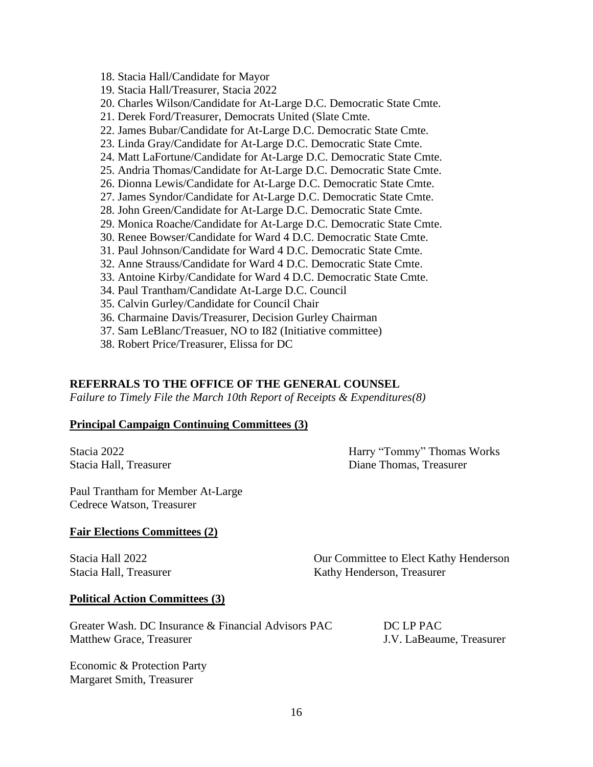- 18. Stacia Hall/Candidate for Mayor
- 19. Stacia Hall/Treasurer, Stacia 2022
- 20. Charles Wilson/Candidate for At-Large D.C. Democratic State Cmte.
- 21. Derek Ford/Treasurer, Democrats United (Slate Cmte.
- 22. James Bubar/Candidate for At-Large D.C. Democratic State Cmte.
- 23. Linda Gray/Candidate for At-Large D.C. Democratic State Cmte.
- 24. Matt LaFortune/Candidate for At-Large D.C. Democratic State Cmte.
- 25. Andria Thomas/Candidate for At-Large D.C. Democratic State Cmte.
- 26. Dionna Lewis/Candidate for At-Large D.C. Democratic State Cmte.
- 27. James Syndor/Candidate for At-Large D.C. Democratic State Cmte.
- 28. John Green/Candidate for At-Large D.C. Democratic State Cmte.
- 29. Monica Roache/Candidate for At-Large D.C. Democratic State Cmte.
- 30. Renee Bowser/Candidate for Ward 4 D.C. Democratic State Cmte.
- 31. Paul Johnson/Candidate for Ward 4 D.C. Democratic State Cmte.
- 32. Anne Strauss/Candidate for Ward 4 D.C. Democratic State Cmte.
- 33. Antoine Kirby/Candidate for Ward 4 D.C. Democratic State Cmte.
- 34. Paul Trantham/Candidate At-Large D.C. Council
- 35. Calvin Gurley/Candidate for Council Chair
- 36. Charmaine Davis/Treasurer, Decision Gurley Chairman
- 37. Sam LeBlanc/Treasuer, NO to I82 (Initiative committee)
- 38. Robert Price/Treasurer, Elissa for DC

#### **REFERRALS TO THE OFFICE OF THE GENERAL COUNSEL**

*Failure to Timely File the March 10th Report of Receipts & Expenditures(8)*

#### **Principal Campaign Continuing Committees (3)**

Stacia 2022 Harry "Tommy" Thomas Works Stacia Hall, Treasurer and Electronic Communications of the Diane Thomas, Treasurer

Paul Trantham for Member At-Large Cedrece Watson, Treasurer

#### **Fair Elections Committees (2)**

Stacia Hall 2022 Our Committee to Elect Kathy Henderson Stacia Hall, Treasurer **Kathy Henderson**, Treasurer

#### **Political Action Committees (3)**

Greater Wash. DC Insurance & Financial Advisors PAC DC LP PAC Matthew Grace, Treasurer J.V. LaBeaume, Treasurer

Economic & Protection Party Margaret Smith, Treasurer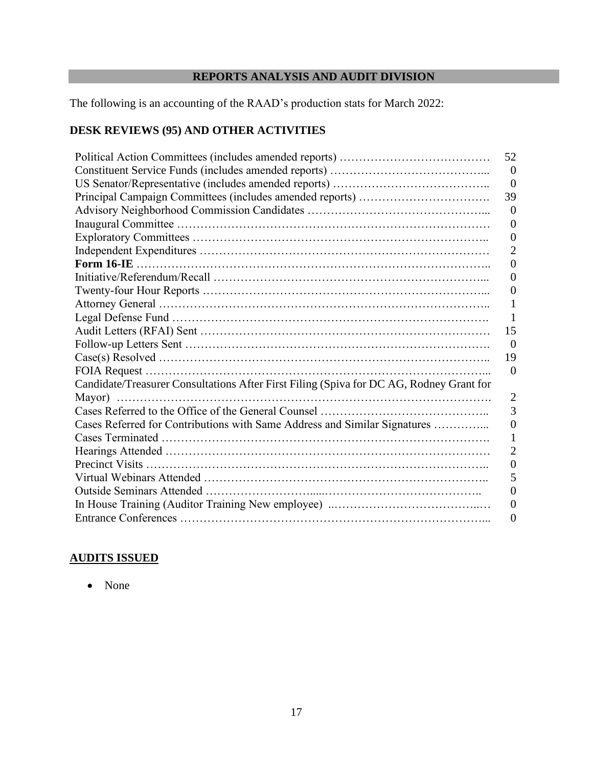# **REPORTS ANALYSIS AND AUDIT DIVISION**

The following is an accounting of the RAAD's production stats for March 2022:

# **DESK REVIEWS (95) AND OTHER ACTIVITIES**

|                                                                                         | 52               |
|-----------------------------------------------------------------------------------------|------------------|
|                                                                                         | $\Omega$         |
|                                                                                         | $\overline{0}$   |
|                                                                                         | 39               |
|                                                                                         | $\theta$         |
|                                                                                         | $\boldsymbol{0}$ |
|                                                                                         | $\Omega$         |
|                                                                                         | 2                |
|                                                                                         | 0                |
|                                                                                         | $\left( \right)$ |
|                                                                                         | $\left( \right)$ |
|                                                                                         |                  |
|                                                                                         |                  |
|                                                                                         | 15               |
|                                                                                         | $\Omega$         |
|                                                                                         | 19               |
|                                                                                         | $\Omega$         |
| Candidate/Treasurer Consultations After First Filing (Spiva for DC AG, Rodney Grant for |                  |
|                                                                                         | 2                |
|                                                                                         | 3                |
| Cases Referred for Contributions with Same Address and Similar Signatures               | 0                |
|                                                                                         |                  |
|                                                                                         | 2                |
|                                                                                         | 0                |
|                                                                                         | 5                |
|                                                                                         | 0                |
|                                                                                         | 0                |
|                                                                                         | 0                |

# **AUDITS ISSUED**

• None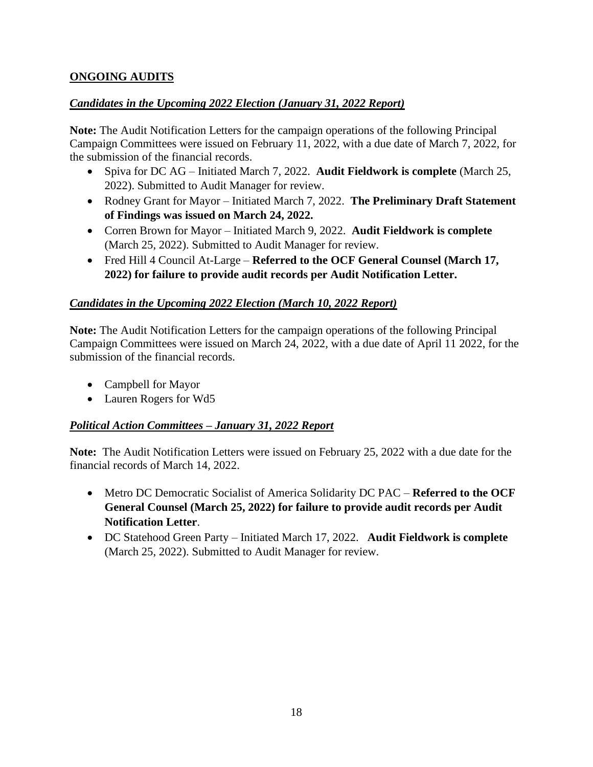# **ONGOING AUDITS**

# *Candidates in the Upcoming 2022 Election (January 31, 2022 Report)*

**Note:** The Audit Notification Letters for the campaign operations of the following Principal Campaign Committees were issued on February 11, 2022, with a due date of March 7, 2022, for the submission of the financial records.

- Spiva for DC AG Initiated March 7, 2022. **Audit Fieldwork is complete** (March 25, 2022). Submitted to Audit Manager for review.
- Rodney Grant for Mayor Initiated March 7, 2022. **The Preliminary Draft Statement of Findings was issued on March 24, 2022.**
- Corren Brown for Mayor Initiated March 9, 2022. **Audit Fieldwork is complete** (March 25, 2022). Submitted to Audit Manager for review.
- Fred Hill 4 Council At-Large **Referred to the OCF General Counsel (March 17, 2022) for failure to provide audit records per Audit Notification Letter.**

# *Candidates in the Upcoming 2022 Election (March 10, 2022 Report)*

**Note:** The Audit Notification Letters for the campaign operations of the following Principal Campaign Committees were issued on March 24, 2022, with a due date of April 11 2022, for the submission of the financial records.

- Campbell for Mayor
- Lauren Rogers for Wd5

# *Political Action Committees – January 31, 2022 Report*

**Note:** The Audit Notification Letters were issued on February 25, 2022 with a due date for the financial records of March 14, 2022.

- Metro DC Democratic Socialist of America Solidarity DC PAC **Referred to the OCF General Counsel (March 25, 2022) for failure to provide audit records per Audit Notification Letter**.
- DC Statehood Green Party Initiated March 17, 2022. **Audit Fieldwork is complete** (March 25, 2022). Submitted to Audit Manager for review.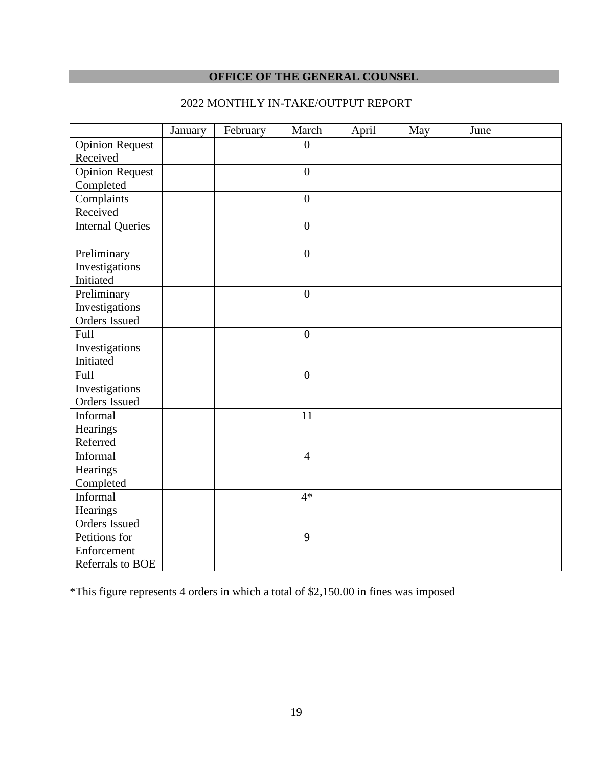# **OFFICE OF THE GENERAL COUNSEL**

|                         | January | February | March            | April | May | June |  |
|-------------------------|---------|----------|------------------|-------|-----|------|--|
| <b>Opinion Request</b>  |         |          | $\boldsymbol{0}$ |       |     |      |  |
| Received                |         |          |                  |       |     |      |  |
| <b>Opinion Request</b>  |         |          | $\boldsymbol{0}$ |       |     |      |  |
| Completed               |         |          |                  |       |     |      |  |
| Complaints              |         |          | $\overline{0}$   |       |     |      |  |
| Received                |         |          |                  |       |     |      |  |
| <b>Internal Queries</b> |         |          | $\boldsymbol{0}$ |       |     |      |  |
|                         |         |          |                  |       |     |      |  |
| Preliminary             |         |          | $\boldsymbol{0}$ |       |     |      |  |
| Investigations          |         |          |                  |       |     |      |  |
| Initiated               |         |          |                  |       |     |      |  |
| Preliminary             |         |          | $\overline{0}$   |       |     |      |  |
| Investigations          |         |          |                  |       |     |      |  |
| Orders Issued           |         |          |                  |       |     |      |  |
| Full                    |         |          | $\boldsymbol{0}$ |       |     |      |  |
| Investigations          |         |          |                  |       |     |      |  |
| Initiated               |         |          |                  |       |     |      |  |
| Full                    |         |          | $\overline{0}$   |       |     |      |  |
| Investigations          |         |          |                  |       |     |      |  |
| Orders Issued           |         |          |                  |       |     |      |  |
| Informal                |         |          | 11               |       |     |      |  |
| Hearings                |         |          |                  |       |     |      |  |
| Referred                |         |          |                  |       |     |      |  |
| Informal                |         |          | $\overline{4}$   |       |     |      |  |
| Hearings                |         |          |                  |       |     |      |  |
| Completed               |         |          |                  |       |     |      |  |
| Informal                |         |          | $4*$             |       |     |      |  |
| Hearings                |         |          |                  |       |     |      |  |
| Orders Issued           |         |          |                  |       |     |      |  |
| Petitions for           |         |          | 9                |       |     |      |  |
| Enforcement             |         |          |                  |       |     |      |  |
| Referrals to BOE        |         |          |                  |       |     |      |  |

# 2022 MONTHLY IN-TAKE/OUTPUT REPORT

\*This figure represents 4 orders in which a total of \$2,150.00 in fines was imposed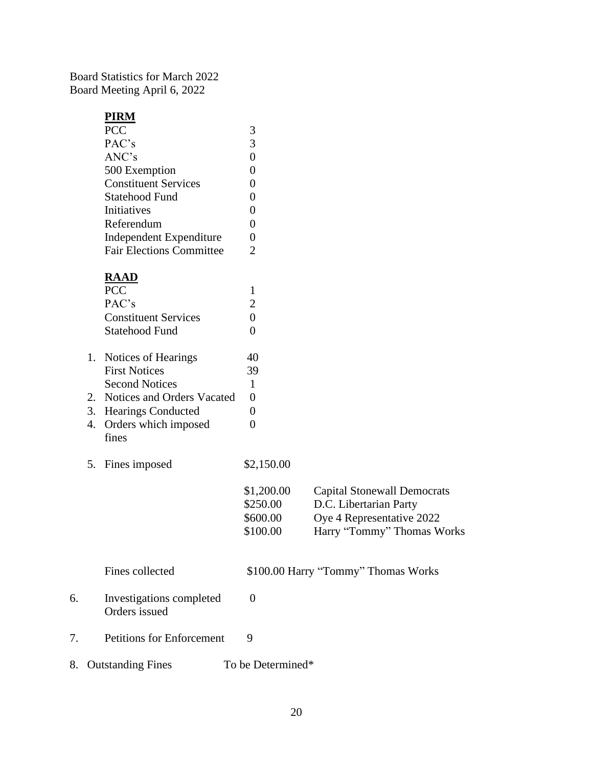Board Statistics for March 2022 Board Meeting April 6, 2022

## **PIRM**

| PCC                             |                       |  |
|---------------------------------|-----------------------|--|
| PAC's                           | 3                     |  |
| ANC's                           |                       |  |
| 500 Exemption                   |                       |  |
| <b>Constituent Services</b>     |                       |  |
| Statehood Fund                  |                       |  |
| Initiatives                     |                       |  |
| Referendum                      |                       |  |
| Independent Expenditure         |                       |  |
| <b>Fair Elections Committee</b> | $\mathcal{D}_{\cdot}$ |  |
|                                 |                       |  |
| n 1 1 n                         |                       |  |

# **RAAD**

|    | <b>PCC</b>                    |                       |         |
|----|-------------------------------|-----------------------|---------|
|    | PAC's                         | $\mathcal{D}_{\cdot}$ |         |
|    | <b>Constituent Services</b>   |                       |         |
|    | Statehood Fund                |                       |         |
|    | 1. Notices of Hearings        | 40                    |         |
|    | <b>First Notices</b>          | 39                    |         |
|    | <b>Second Notices</b>         | 1                     |         |
|    | 2. Notices and Orders Vacated | $\mathbf{\Omega}$     |         |
| 3. | <b>Hearings Conducted</b>     | $\mathbf{\Omega}$     |         |
| 4. | Orders which imposed          |                       |         |
|    | fines                         |                       |         |
|    | 5. Fines imposed              | \$2,150.00            |         |
|    |                               | <b>ደ1 ኃ00 00</b>      | Conital |

| \$1,200.00 | <b>Capital Stonewall Democrats</b> |
|------------|------------------------------------|
| \$250.00   | D.C. Libertarian Party             |
| \$600.00   | Oye 4 Representative 2022          |
| \$100.00   | Harry "Tommy" Thomas Works         |

Fines collected \$100.00 Harry "Tommy" Thomas Works

- 6. Investigations completed 0 Orders issued
- 7. Petitions for Enforcement 9
- 8. Outstanding Fines To be Determined\*